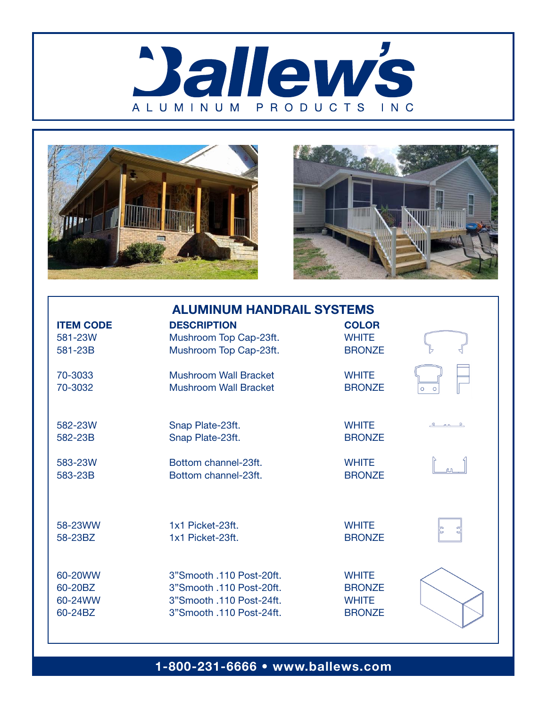





| <b>ALUMINUM HANDRAIL SYSTEMS</b> |                              |               |        |  |
|----------------------------------|------------------------------|---------------|--------|--|
| <b>ITEM CODE</b>                 | <b>DESCRIPTION</b>           | <b>COLOR</b>  |        |  |
| 581-23W                          | Mushroom Top Cap-23ft.       | <b>WHITE</b>  |        |  |
| 581-23B                          | Mushroom Top Cap-23ft.       | <b>BRONZE</b> |        |  |
| 70-3033                          | <b>Mushroom Wall Bracket</b> | <b>WHITE</b>  |        |  |
| 70-3032                          | <b>Mushroom Wall Bracket</b> | <b>BRONZE</b> |        |  |
| 582-23W                          | Snap Plate-23ft.             | <b>WHITE</b>  | 1 co R |  |
| 582-23B                          | Snap Plate-23ft.             | <b>BRONZE</b> |        |  |
| 583-23W                          | Bottom channel-23ft.         | <b>WHITE</b>  |        |  |
| 583-23B                          | Bottom channel-23ft.         | <b>BRONZE</b> |        |  |
| 58-23WW                          | 1x1 Picket-23ft.             | <b>WHITE</b>  |        |  |
| 58-23BZ                          | 1x1 Picket-23ft.             | <b>BRONZE</b> |        |  |
| 60-20WW                          | 3"Smooth .110 Post-20ft.     | <b>WHITE</b>  |        |  |
| 60-20BZ                          | 3"Smooth .110 Post-20ft.     | <b>BRONZE</b> |        |  |
| 60-24WW                          | 3"Smooth .110 Post-24ft.     | <b>WHITE</b>  |        |  |
| 60-24BZ                          | 3"Smooth .110 Post-24ft.     | <b>BRONZE</b> |        |  |

1-800-231-6666 • www.ballews.com 60-20BZ 3"Smooth .110 Post-20ft. BRONZE 60-20BZ 3"Smooth .110 Post-20ft. BRONZE  $\mathcal{A}^{\mathcal{A}}_{\mathcal{A}}$  , which is a smooth . In  $\mathcal{A}^{\mathcal{A}}_{\mathcal{A}}$  , which is a smooth .

60-20WW 3"Smooth .110 Post-20ft. WHITE

60-24WW 3"Smooth .110 Post-24ft. WHITE